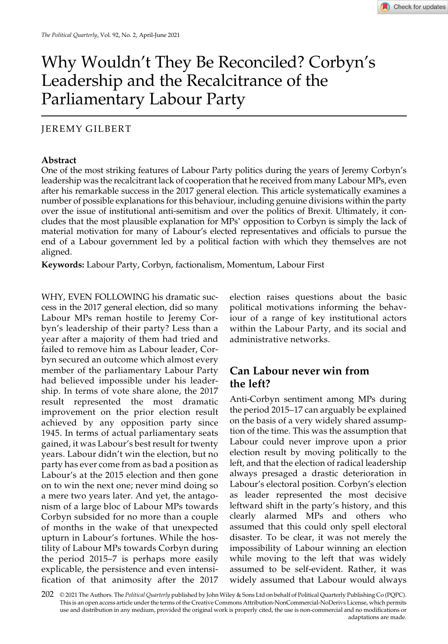# Why Wouldn't They Be Reconciled? Corbyn's Leadership and the Recalcitrance of the Parliamentary Labour Party

### JEREMY GILBERT

#### Abstract

One of the most striking features of Labour Party politics during the years of Jeremy Corbyn's leadership was the recalcitrant lack of cooperation that he received from many Labour MPs, even after his remarkable success in the 2017 general election. This article systematically examines a number of possible explanations for this behaviour, including genuine divisions within the party over the issue of institutional anti-semitism and over the politics of Brexit. Ultimately, it concludes that the most plausible explanation for MPs' opposition to Corbyn is simply the lack of material motivation for many of Labour's elected representatives and officials to pursue the end of a Labour government led by a political faction with which they themselves are not aligned.

Keywords: Labour Party, Corbyn, factionalism, Momentum, Labour First

WHY, EVEN FOLLOWING his dramatic success in the 2017 general election, did so many Labour MPs reman hostile to Jeremy Corbyn's leadership of their party? Less than a year after a majority of them had tried and failed to remove him as Labour leader, Corbyn secured an outcome which almost every member of the parliamentary Labour Party had believed impossible under his leadership. In terms of vote share alone, the 2017 result represented the most dramatic improvement on the prior election result achieved by any opposition party since 1945. In terms of actual parliamentary seats gained, it was Labour's best result for twenty years. Labour didn't win the election, but no party has ever come from as bad a position as Labour's at the 2015 election and then gone on to win the next one; never mind doing so a mere two years later. And yet, the antagonism of a large bloc of Labour MPs towards Corbyn subsided for no more than a couple of months in the wake of that unexpected upturn in Labour's fortunes. While the hostility of Labour MPs towards Corbyn during the period 2015–7 is perhaps more easily explicable, the persistence and even intensification of that animosity after the 2017

election raises questions about the basic political motivations informing the behaviour of a range of key institutional actors within the Labour Party, and its social and administrative networks.

### Can Labour never win from the left?

Anti-Corbyn sentiment among MPs during the period 2015–17 can arguably be explained on the basis of a very widely shared assumption of the time. This was the assumption that Labour could never improve upon a prior election result by moving politically to the left, and that the election of radical leadership always presaged a drastic deterioration in Labour's electoral position. Corbyn's election as leader represented the most decisive leftward shift in the party's history, and this clearly alarmed MPs and others who assumed that this could only spell electoral disaster. To be clear, it was not merely the impossibility of Labour winning an election while moving to the left that was widely assumed to be self-evident. Rather, it was widely assumed that Labour would always

 $202$  © 2021 The Authors. The Political Quarterly published by John Wiley & Sons Ltd on behalf of Political Quarterly Publishing Co (PQPC). This is an open access article under the terms of the [Creative Commons Attribution](http://creativecommons.org/licenses/by-nc-nd/4.0/)‐NonCommercial‐NoDerivs License, which permits use and distribution in any medium, provided the original work is properly cited, the use is non‐commercial and no modifications or adaptations are made.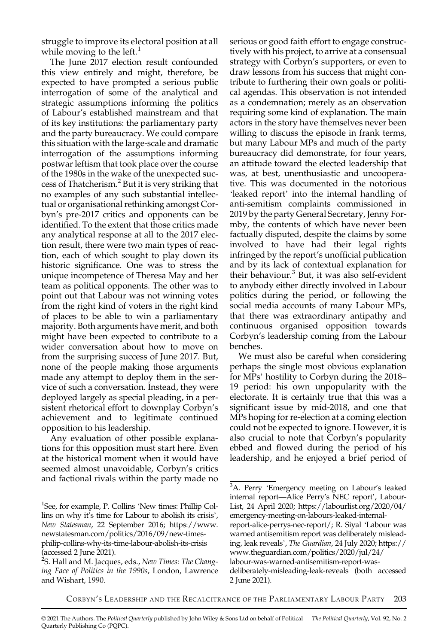struggle to improve its electoral position at all while moving to the left. $<sup>1</sup>$ </sup>

The June 2017 election result confounded this view entirely and might, therefore, be expected to have prompted a serious public interrogation of some of the analytical and strategic assumptions informing the politics of Labour's established mainstream and that of its key institutions: the parliamentary party and the party bureaucracy. We could compare this situation with the large-scale and dramatic interrogation of the assumptions informing postwar leftism that took place over the course of the 1980s in the wake of the unexpected success of Thatcherism.<sup>2</sup> But it is very striking that no examples of any such substantial intellectual or organisational rethinking amongst Corbyn's pre-2017 critics and opponents can be identified. To the extent that those critics made any analytical response at all to the 2017 election result, there were two main types of reaction, each of which sought to play down its historic significance. One was to stress the unique incompetence of Theresa May and her team as political opponents. The other was to point out that Labour was not winning votes from the right kind of voters in the right kind of places to be able to win a parliamentary majority. Both arguments have merit, and both might have been expected to contribute to a wider conversation about how to move on from the surprising success of June 2017. But, none of the people making those arguments made any attempt to deploy them in the service of such a conversation. Instead, they were deployed largely as special pleading, in a persistent rhetorical effort to downplay Corbyn's achievement and to legitimate continued opposition to his leadership.

Any evaluation of other possible explanations for this opposition must start here. Even at the historical moment when it would have seemed almost unavoidable, Corbyn's critics and factional rivals within the party made no serious or good faith effort to engage constructively with his project, to arrive at a consensual strategy with Corbyn's supporters, or even to draw lessons from his success that might contribute to furthering their own goals or political agendas. This observation is not intended as a condemnation; merely as an observation requiring some kind of explanation. The main actors in the story have themselves never been willing to discuss the episode in frank terms, but many Labour MPs and much of the party bureaucracy did demonstrate, for four years, an attitude toward the elected leadership that was, at best, unenthusiastic and uncooperative. This was documented in the notorious 'leaked report' into the internal handling of anti-semitism complaints commissioned in 2019 by the party General Secretary, Jenny Formby, the contents of which have never been factually disputed, despite the claims by some involved to have had their legal rights infringed by the report's unofficial publication and by its lack of contextual explanation for their behaviour.<sup>3</sup> But, it was also self-evident to anybody either directly involved in Labour politics during the period, or following the social media accounts of many Labour MPs, that there was extraordinary antipathy and continuous organised opposition towards Corbyn's leadership coming from the Labour benches.

We must also be careful when considering perhaps the single most obvious explanation for MPs' hostility to Corbyn during the 2018– 19 period: his own unpopularity with the electorate. It is certainly true that this was a significant issue by mid-2018, and one that MPs hoping for re-election at a coming election could not be expected to ignore. However, it is also crucial to note that Corbyn's popularity ebbed and flowed during the period of his leadership, and he enjoyed a brief period of

<sup>&</sup>lt;sup>1</sup>See, for example, P. Collins 'New times: Phillip Collins on why it's time for Labour to abolish its crisis', New Statesman, 22 September 2016; [https://www.](https://www.newstatesman.com/politics/2016/09/new-times-philip-collins-why-its-time-labour-abolish-its-crisis) [newstatesman.com/politics/2016/09/new-times](https://www.newstatesman.com/politics/2016/09/new-times-philip-collins-why-its-time-labour-abolish-its-crisis)[philip-collins-why-its-time-labour-abolish-its-crisis](https://www.newstatesman.com/politics/2016/09/new-times-philip-collins-why-its-time-labour-abolish-its-crisis) (accessed 2 June 2021).

<sup>&</sup>lt;sup>2</sup>S. Hall and M. Jacques, eds., N*ew Times: The Chang*ing Face of Politics in the 1990s, London, Lawrence and Wishart, 1990.

<sup>&</sup>lt;sup>3</sup>A. Perry 'Emergency meeting on Labour's leaked internal report—Alice Perry's NEC report', Labour-List, 24 April 2020; [https://labourlist.org/2020/04/](https://labourlist.org/2020/04/emergency-meeting-on-labours-leaked-internal-report-alice-perrys-nec-report/) [emergency-meeting-on-labours-leaked-internal](https://labourlist.org/2020/04/emergency-meeting-on-labours-leaked-internal-report-alice-perrys-nec-report/)[report-alice-perrys-nec-report/](https://labourlist.org/2020/04/emergency-meeting-on-labours-leaked-internal-report-alice-perrys-nec-report/); R. Siyal 'Labour was warned antisemitism report was deliberately misleading, leak reveals', The Guardian, 24 July 2020; [https://](https://www.theguardian.com/politics/2020/jul/24/labour-was-warned-antisemitism-report-was-deliberately-misleading-leak-reveals) [www.theguardian.com/politics/2020/jul/24/](https://www.theguardian.com/politics/2020/jul/24/labour-was-warned-antisemitism-report-was-deliberately-misleading-leak-reveals) [labour-was-warned-antisemitism-report-was](https://www.theguardian.com/politics/2020/jul/24/labour-was-warned-antisemitism-report-was-deliberately-misleading-leak-reveals)[deliberately-misleading-leak-reveals](https://www.theguardian.com/politics/2020/jul/24/labour-was-warned-antisemitism-report-was-deliberately-misleading-leak-reveals) (both accessed 2 June 2021).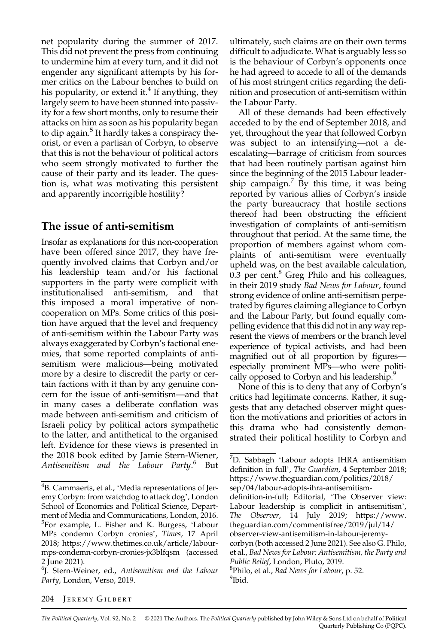net popularity during the summer of 2017. This did not prevent the press from continuing to undermine him at every turn, and it did not engender any significant attempts by his former critics on the Labour benches to build on his popularity, or extend it.<sup>4</sup> If anything, they largely seem to have been stunned into passivity for a few short months, only to resume their attacks on him as soon as his popularity began to dip again.<sup>5</sup> It hardly takes a conspiracy theorist, or even a partisan of Corbyn, to observe that this is not the behaviour of political actors who seem strongly motivated to further the cause of their party and its leader. The question is, what was motivating this persistent and apparently incorrigible hostility?

### The issue of anti-semitism

Insofar as explanations for this non-cooperation have been offered since 2017, they have frequently involved claims that Corbyn and/or his leadership team and/or his factional supporters in the party were complicit with institutionalised anti-semitism, and that this imposed a moral imperative of noncooperation on MPs. Some critics of this position have argued that the level and frequency of anti-semitism within the Labour Party was always exaggerated by Corbyn's factional enemies, that some reported complaints of antisemitism were malicious—being motivated more by a desire to discredit the party or certain factions with it than by any genuine concern for the issue of anti-semitism—and that in many cases a deliberate conflation was made between anti-semitism and criticism of Israeli policy by political actors sympathetic to the latter, and antithetical to the organised left. Evidence for these views is presented in the 2018 book edited by Jamie Stern-Wiener, Antisemitism and the Labour Party.<sup>6</sup> But

ultimately, such claims are on their own terms difficult to adjudicate. What is arguably less so is the behaviour of Corbyn's opponents once he had agreed to accede to all of the demands of his most stringent critics regarding the definition and prosecution of anti-semitism within the Labour Party.

All of these demands had been effectively acceded to by the end of September 2018, and yet, throughout the year that followed Corbyn was subject to an intensifying—not a deescalating—barrage of criticism from sources that had been routinely partisan against him since the beginning of the 2015 Labour leadership campaign.<sup>7</sup> By this time, it was being reported by various allies of Corbyn's inside the party bureaucracy that hostile sections thereof had been obstructing the efficient investigation of complaints of anti-semitism throughout that period. At the same time, the proportion of members against whom complaints of anti-semitism were eventually upheld was, on the best available calculation, 0.3 per cent. $^8$  Greg Philo and his colleagues, in their 2019 study Bad News for Labour, found strong evidence of online anti-semitism perpetrated by figures claiming allegiance to Corbyn and the Labour Party, but found equally compelling evidence that this did not in any way represent the views of members or the branch level experience of typical activists, and had been magnified out of all proportion by figures especially prominent MPs—who were politically opposed to Corbyn and his leadership.<sup>9</sup>

None of this is to deny that any of Corbyn's critics had legitimate concerns. Rather, it suggests that any detached observer might question the motivations and priorities of actors in this drama who had consistently demonstrated their political hostility to Corbyn and

#### 204 JEREMY GILBERT

The Political Quarterly, Vol. 92, No. 2 © 2021 The Authors. The Political Quarterly published by John Wiley & Sons Ltd on behalf of Political Quarterly Publishing Co (PQPC).

<sup>4</sup> B. Cammaerts, et al., 'Media representations of Jeremy Corbyn: from watchdog to attack dog', London School of Economics and Political Science, Department of Media and Communications, London, 2016. 5 For example, L. Fisher and K. Burgess, 'Labour MPs condemn Corbyn cronies', Times, 17 April 2018; [https://www.thetimes.co.uk/article/labour](https://www.thetimes.co.uk/article/labour-mps-condemn-corbyn-cronies-jx3blfqsm)[mps-condemn-corbyn-cronies-jx3blfqsm](https://www.thetimes.co.uk/article/labour-mps-condemn-corbyn-cronies-jx3blfqsm) (accessed 2 June 2021).

<sup>6</sup> J. Stern-Weiner, ed., Antisemitism and the Labour Party, London, Verso, 2019.

<sup>7</sup> D. Sabbagh 'Labour adopts IHRA antisemitism definition in full', The Guardian, 4 September 2018; [https://www.theguardian.com/politics/2018/](https://www.theguardian.com/politics/2018/sep/04/labour-adopts-ihra-antisemitism-definition-in-full) [sep/04/labour-adopts-ihra-antisemitism](https://www.theguardian.com/politics/2018/sep/04/labour-adopts-ihra-antisemitism-definition-in-full)defi[nition-in-full;](https://www.theguardian.com/politics/2018/sep/04/labour-adopts-ihra-antisemitism-definition-in-full) Editorial, 'The Observer view: Labour leadership is complicit in antisemitism', The Observer, 14 July 2019; [https://www.](https://www.theguardian.com/commentisfree/2019/jul/14/observer-view-antisemitism-in-labour-jeremy-corbyn) [theguardian.com/commentisfree/2019/jul/14/](https://www.theguardian.com/commentisfree/2019/jul/14/observer-view-antisemitism-in-labour-jeremy-corbyn) [observer-view-antisemitism-in-labour-jeremy](https://www.theguardian.com/commentisfree/2019/jul/14/observer-view-antisemitism-in-labour-jeremy-corbyn)[corbyn](https://www.theguardian.com/commentisfree/2019/jul/14/observer-view-antisemitism-in-labour-jeremy-corbyn) (both accessed 2 June 2021). See also G. Philo, et al., Bad News for Labour: Antisemitism, the Party and Public Belief, London, Pluto, 2019.  ${}^{8}$ Philo, et al., Bad News for Labour, p. 52.

<sup>&</sup>lt;sup>9</sup>Ibid.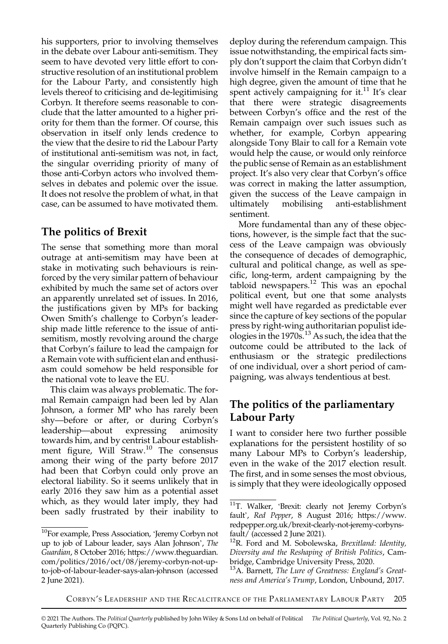his supporters, prior to involving themselves in the debate over Labour anti-semitism. They seem to have devoted very little effort to constructive resolution of an institutional problem for the Labour Party, and consistently high levels thereof to criticising and de-legitimising Corbyn. It therefore seems reasonable to conclude that the latter amounted to a higher priority for them than the former. Of course, this observation in itself only lends credence to the view that the desire to rid the Labour Party of institutional anti-semitism was not, in fact, the singular overriding priority of many of those anti-Corbyn actors who involved themselves in debates and polemic over the issue. It does not resolve the problem of what, in that case, can be assumed to have motivated them.

### The politics of Brexit

The sense that something more than moral outrage at anti-semitism may have been at stake in motivating such behaviours is reinforced by the very similar pattern of behaviour exhibited by much the same set of actors over an apparently unrelated set of issues. In 2016, the justifications given by MPs for backing Owen Smith's challenge to Corbyn's leadership made little reference to the issue of antisemitism, mostly revolving around the charge that Corbyn's failure to lead the campaign for a Remain vote with sufficient elan and enthusiasm could somehow be held responsible for the national vote to leave the EU.

This claim was always problematic. The formal Remain campaign had been led by Alan Johnson, a former MP who has rarely been shy—before or after, or during Corbyn's leadership—about expressing animosity towards him, and by centrist Labour establishment figure, Will Straw.<sup>10</sup> The consensus among their wing of the party before 2017 had been that Corbyn could only prove an electoral liability. So it seems unlikely that in early 2016 they saw him as a potential asset which, as they would later imply, they had been sadly frustrated by their inability to deploy during the referendum campaign. This issue notwithstanding, the empirical facts simply don't support the claim that Corbyn didn't involve himself in the Remain campaign to a high degree, given the amount of time that he spent actively campaigning for it. $11$  It's clear that there were strategic disagreements between Corbyn's office and the rest of the Remain campaign over such issues such as whether, for example, Corbyn appearing alongside Tony Blair to call for a Remain vote would help the cause, or would only reinforce the public sense of Remain as an establishment project. It's also very clear that Corbyn's office was correct in making the latter assumption, given the success of the Leave campaign in ultimately mobilising anti-establishment sentiment.

More fundamental than any of these objections, however, is the simple fact that the success of the Leave campaign was obviously the consequence of decades of demographic, cultural and political change, as well as specific, long-term, ardent campaigning by the tabloid newspapers. $12$  This was an epochal political event, but one that some analysts might well have regarded as predictable ever since the capture of key sections of the popular press by right-wing authoritarian populist ideologies in the 1970s.<sup>13</sup> As such, the idea that the outcome could be attributed to the lack of enthusiasm or the strategic predilections of one individual, over a short period of campaigning, was always tendentious at best.

### The politics of the parliamentary Labour Party

I want to consider here two further possible explanations for the persistent hostility of so many Labour MPs to Corbyn's leadership, even in the wake of the 2017 election result. The first, and in some senses the most obvious, is simply that they were ideologically opposed

<sup>10</sup>For example, Press Association, 'Jeremy Corbyn not up to job of Labour leader, says Alan Johnson', The Guardian, 8 October 2016; [https://www.theguardian.](https://www.theguardian.com/politics/2016/oct/08/jeremy-corbyn-not-up-to-job-of-labour-leader-says-alan-johnson) [com/politics/2016/oct/08/jeremy-corbyn-not-up](https://www.theguardian.com/politics/2016/oct/08/jeremy-corbyn-not-up-to-job-of-labour-leader-says-alan-johnson)[to-job-of-labour-leader-says-alan-johnson](https://www.theguardian.com/politics/2016/oct/08/jeremy-corbyn-not-up-to-job-of-labour-leader-says-alan-johnson) (accessed 2 June 2021).

<sup>11</sup>T. Walker, 'Brexit: clearly not Jeremy Corbyn's fault', Red Pepper, 8 August 2016; [https://www.](https://www.redpepper.org.uk/brexit-clearly-not-jeremy-corbyns-fault/) [redpepper.org.uk/brexit-clearly-not-jeremy-corbyns](https://www.redpepper.org.uk/brexit-clearly-not-jeremy-corbyns-fault/)[fault/](https://www.redpepper.org.uk/brexit-clearly-not-jeremy-corbyns-fault/) (accessed 2 June 2021).

 $12R$ . Ford and M. Sobolewska, Brexitland: Identity, Diversity and the Reshaping of British Politics, Cambridge, Cambridge University Press, 2020.

<sup>&</sup>lt;sup>13</sup>A. Barnett, The Lure of Greatness: England's Greatness and America's Trump, London, Unbound, 2017.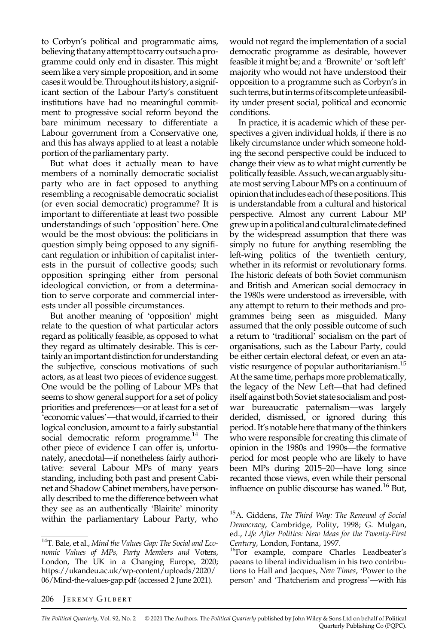to Corbyn's political and programmatic aims, believing that any attempt to carry out such aprogramme could only end in disaster. This might seem like a very simple proposition, and in some cases it would be. Throughout its history, a significant section of the Labour Party's constituent institutions have had no meaningful commitment to progressive social reform beyond the bare minimum necessary to differentiate a Labour government from a Conservative one, and this has always applied to at least a notable portion of the parliamentary party.

But what does it actually mean to have members of a nominally democratic socialist party who are in fact opposed to anything resembling a recognisable democratic socialist (or even social democratic) programme? It is important to differentiate at least two possible understandings of such 'opposition' here. One would be the most obvious: the politicians in question simply being opposed to any significant regulation or inhibition of capitalist interests in the pursuit of collective goods; such opposition springing either from personal ideological conviction, or from a determination to serve corporate and commercial interests under all possible circumstances.

But another meaning of 'opposition' might relate to the question of what particular actors regard as politically feasible, as opposed to what they regard as ultimately desirable. This is certainly an important distinction for understanding the subjective, conscious motivations of such actors, as at least two pieces of evidence suggest. One would be the polling of Labour MPs that seems to show general support for a set of policy priorities and preferences—or at least for a set of 'economic values'—that would, if carried to their logical conclusion, amount to a fairly substantial social democratic reform programme.<sup>14</sup> The other piece of evidence I can offer is, unfortunately, anecdotal—if nonetheless fairly authoritative: several Labour MPs of many years standing, including both past and present Cabinet and Shadow Cabinet members, have personally described to me the difference between what they see as an authentically 'Blairite' minority within the parliamentary Labour Party, who

would not regard the implementation of a social democratic programme as desirable, however feasible it might be; and a 'Brownite' or'soft left' majority who would not have understood their opposition to a programme such as Corbyn's in such terms, but in terms of its complete unfeasibility under present social, political and economic conditions.

In practice, it is academic which of these perspectives a given individual holds, if there is no likely circumstance under which someone holding the second perspective could be induced to change their view as to what might currently be politically feasible.As such,we can arguably situate most serving Labour MPs on a continuum of opinion thatincludes each of these positions. This is understandable from a cultural and historical perspective. Almost any current Labour MP grew up in a political and cultural climate defined by the widespread assumption that there was simply no future for anything resembling the left-wing politics of the twentieth century, whether in its reformist or revolutionary forms. The historic defeats of both Soviet communism and British and American social democracy in the 1980s were understood as irreversible, with any attempt to return to their methods and programmes being seen as misguided. Many assumed that the only possible outcome of such a return to 'traditional' socialism on the part of organisations, such as the Labour Party, could be either certain electoral defeat, or even an atavistic resurgence of popular authoritarianism.<sup>15</sup> At the same time, perhaps more problematically, the legacy of the New Left—that had defined itself against both Soviet state socialism and postwar bureaucratic paternalism—was largely derided, dismissed, or ignored during this period. It's notable here that many of the thinkers who were responsible for creating this climate of opinion in the 1980s and 1990s—the formative period for most people who are likely to have been MPs during 2015–20—have long since recanted those views, even while their personal influence on public discourse has waned.<sup>16</sup> But,

#### 206 JEREMY GILBERT

The Political Quarterly, Vol. 92, No. 2 © 2021 The Authors. The Political Quarterly published by John Wiley & Sons Ltd on behalf of Political Quarterly Publishing Co (PQPC).

<sup>&</sup>lt;sup>14</sup>T. Bale, et al., Mind the Values Gap: The Social and Economic Values of MPs, Party Members and Voters, London, The UK in a Changing Europe, 2020; [https://ukandeu.ac.uk/wp-content/uploads/2020/](https://ukandeu.ac.uk/wp-content/uploads/2020/06/Mind-the-values-gap.pdf) [06/Mind-the-values-gap.pdf](https://ukandeu.ac.uk/wp-content/uploads/2020/06/Mind-the-values-gap.pdf) (accessed 2 June 2021).

<sup>&</sup>lt;sup>15</sup>A. Giddens, The Third Way: The Renewal of Social Democracy, Cambridge, Polity, 1998; G. Mulgan, ed., Life After Politics: New Ideas for the Twenty-First

Century, London, Fontana, 1997.<br><sup>16</sup>For example, compare Charles Leadbeater's paeans to liberal individualism in his two contributions to Hall and Jacques, New Times, 'Power to the person' and 'Thatcherism and progress'—with his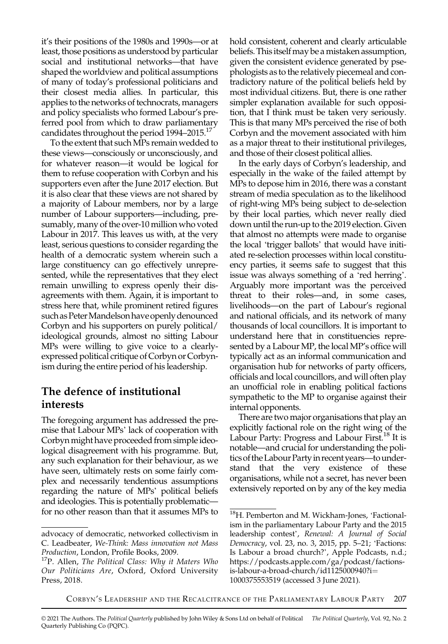it's their positions of the 1980s and 1990s—or at least, those positions as understood by particular social and institutional networks—that have shaped the worldview and political assumptions of many of today's professional politicians and their closest media allies. In particular, this applies to the networks of technocrats, managers and policy specialists who formed Labour's preferred pool from which to draw parliamentary candidates throughout the period 1994–2015.<sup>17</sup>

To the extent that such MPs remain wedded to these views—consciously or unconsciously, and for whatever reason—it would be logical for them to refuse cooperation with Corbyn and his supporters even after the June 2017 election. But it is also clear that these views are not shared by a majority of Labour members, nor by a large number of Labour supporters—including, presumably, many of the over-10 million who voted Labour in 2017. This leaves us with, at the very least, serious questions to consider regarding the health of a democratic system wherein such a large constituency can go effectively unrepresented, while the representatives that they elect remain unwilling to express openly their disagreements with them. Again, it is important to stress here that, while prominent retired figures such as Peter Mandelson have openly denounced Corbyn and his supporters on purely political/ ideological grounds, almost no sitting Labour MPs were willing to give voice to a clearlyexpressed political critique of Corbyn or Corbynism during the entire period of his leadership.

### The defence of institutional interests

The foregoing argument has addressed the premise that Labour MPs' lack of cooperation with Corbyn might have proceeded from simple ideological disagreement with his programme. But, any such explanation for their behaviour, as we have seen, ultimately rests on some fairly complex and necessarily tendentious assumptions regarding the nature of MPs' political beliefs and ideologies. This is potentially problematic for no other reason than that it assumes MPs to hold consistent, coherent and clearly articulable beliefs. This itself may be a mistaken assumption, given the consistent evidence generated by psephologists as to the relatively piecemeal and contradictory nature of the political beliefs held by most individual citizens. But, there is one rather simpler explanation available for such opposition, that I think must be taken very seriously. This is that many MPs perceived the rise of both Corbyn and the movement associated with him as a major threat to their institutional privileges, and those of their closest political allies.

In the early days of Corbyn's leadership, and especially in the wake of the failed attempt by MPs to depose him in 2016, there was a constant stream of media speculation as to the likelihood of right-wing MPs being subject to de-selection by their local parties, which never really died down until the run-up to the 2019 election. Given that almost no attempts were made to organise the local 'trigger ballots' that would have initiated re-selection processes within local constituency parties, it seems safe to suggest that this issue was always something of a 'red herring'. Arguably more important was the perceived threat to their roles—and, in some cases, livelihoods—on the part of Labour's regional and national officials, and its network of many thousands of local councillors. It is important to understand here that in constituencies represented by a Labour MP, the local MP's office will typically act as an informal communication and organisation hub for networks of party officers, officials and local councillors, and will often play an unofficial role in enabling political factions sympathetic to the MP to organise against their internal opponents.

There are two major organisations that play an explicitly factional role on the right wing of the Labour Party: Progress and Labour First.<sup>18</sup> It is notable—and crucial for understanding the politics of the Labour Party in recent years—to understand that the very existence of these organisations, while not a secret, has never been extensively reported on by any of the key media

advocacy of democratic, networked collectivism in C. Leadbeater, We-Think: Mass innovation not Mass<br>Production, London, Profile Books, 2009.

 $17P$ . Allen, The Political Class: Why it Maters Who Our Politicians Are, Oxford, Oxford University Press, 2018.

<sup>18</sup>H. Pemberton and M. Wickham-Jones, 'Factionalism in the parliamentary Labour Party and the 2015 leadership contest', Renewal: A Journal of Social Democracy, vol. 23, no. 3, 2015, pp. 5–21; 'Factions: Is Labour a broad church?', Apple Podcasts, n.d.; [https://podcasts.apple.com/ga/podcast/factions](https://podcasts.apple.com/ga/podcast/factions-is-labour-a-broad-church/id1125000940?i=1000375553519)[is-labour-a-broad-church/id1125000940?i](https://podcasts.apple.com/ga/podcast/factions-is-labour-a-broad-church/id1125000940?i=1000375553519)= [1000375553519](https://podcasts.apple.com/ga/podcast/factions-is-labour-a-broad-church/id1125000940?i=1000375553519) (accessed 3 June 2021).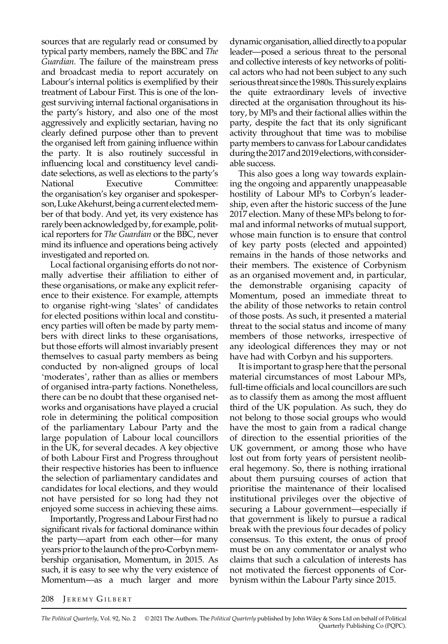sources that are regularly read or consumed by typical party members, namely the BBC and The Guardian. The failure of the mainstream press and broadcast media to report accurately on Labour's internal politics is exemplified by their treatment of Labour First. This is one of the longest surviving internal factional organisations in the party's history, and also one of the most aggressively and explicitly sectarian, having no clearly defined purpose other than to prevent the organised left from gaining influence within the party. It is also routinely successful in influencing local and constituency level candidate selections, as well as elections to the party's National Executive Committee: the organisation's key organiser and spokesperson,LukeAkehurst,being acurrentelectedmember of that body. And yet, its very existence has rarely been acknowledged by, for example, political reporters for The Guardian or the BBC, never mind its influence and operations being actively investigated and reported on.

Local factional organising efforts do not normally advertise their affiliation to either of these organisations, or make any explicit reference to their existence. For example, attempts to organise right-wing 'slates' of candidates for elected positions within local and constituency parties will often be made by party members with direct links to these organisations, but those efforts will almost invariably present themselves to casual party members as being conducted by non-aligned groups of local 'moderates', rather than as allies or members of organised intra-party factions. Nonetheless, there can be no doubt that these organised networks and organisations have played a crucial role in determining the political composition of the parliamentary Labour Party and the large population of Labour local councillors in the UK, for several decades. A key objective of both Labour First and Progress throughout their respective histories has been to influence the selection of parliamentary candidates and candidates for local elections, and they would not have persisted for so long had they not enjoyed some success in achieving these aims.

Importantly, Progress and Labour First had no significant rivals for factional dominance within the party—apart from each other—for many years prior to the launch of the pro-Corbyn membership organisation, Momentum, in 2015. As such, it is easy to see why the very existence of Momentum—as a much larger and more

dynamic organisation, allied directly to a popular leader—posed a serious threat to the personal and collective interests of key networks of political actors who had not been subject to any such serious threat since the 1980s. This surely explains the quite extraordinary levels of invective directed at the organisation throughout its history, by MPs and their factional allies within the party, despite the fact that its only significant activity throughout that time was to mobilise party members to canvass for Labour candidates during the 2017 and 2019 elections, with considerable success.

This also goes a long way towards explaining the ongoing and apparently unappeasable hostility of Labour MPs to Corbyn's leadership, even after the historic success of the June 2017 election. Many of these MPs belong to formal and informal networks of mutual support, whose main function is to ensure that control of key party posts (elected and appointed) remains in the hands of those networks and their members. The existence of Corbynism as an organised movement and, in particular, the demonstrable organising capacity of Momentum, posed an immediate threat to the ability of those networks to retain control of those posts. As such, it presented a material threat to the social status and income of many members of those networks, irrespective of any ideological differences they may or not have had with Corbyn and his supporters.

It is important to grasp here that the personal material circumstances of most Labour MPs, full-time officials and local councillors are such as to classify them as among the most affluent third of the UK population. As such, they do not belong to those social groups who would have the most to gain from a radical change of direction to the essential priorities of the UK government, or among those who have lost out from forty years of persistent neoliberal hegemony. So, there is nothing irrational about them pursuing courses of action that prioritise the maintenance of their localised institutional privileges over the objective of securing a Labour government—especially if that government is likely to pursue a radical break with the previous four decades of policy consensus. To this extent, the onus of proof must be on any commentator or analyst who claims that such a calculation of interests has not motivated the fiercest opponents of Corbynism within the Labour Party since 2015.

#### 208 JEREMY GILBERT

The Political Quarterly, Vol. 92, No. 2 © 2021 The Authors. The Political Quarterly published by John Wiley & Sons Ltd on behalf of Political Quarterly Publishing Co (PQPC).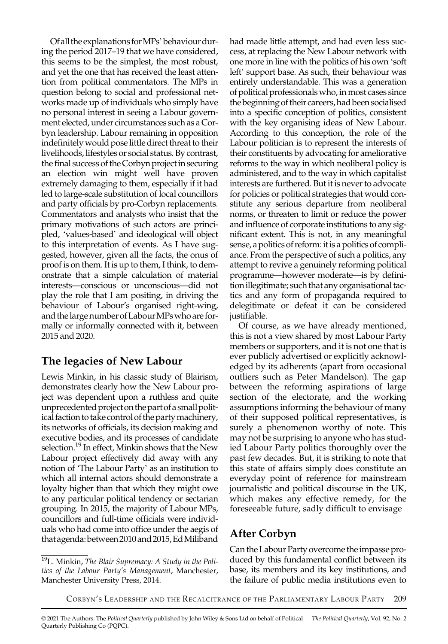Of all theexplanations forMPs'behaviourduring the period 2017–19 that we have considered, this seems to be the simplest, the most robust, and yet the one that has received the least attention from political commentators. The MPs in question belong to social and professional networks made up of individuals who simply have no personal interest in seeing a Labour government elected, under circumstances such as a Corbyn leadership. Labour remaining in opposition indefinitely would pose little direct threat to their livelihoods, lifestyles or social status. By contrast, the final success of the Corbyn project in securing an election win might well have proven extremely damaging to them, especially if it had led to large-scale substitution of local councillors and party officials by pro-Corbyn replacements. Commentators and analysts who insist that the primary motivations of such actors are principled, 'values-based' and ideological will object to this interpretation of events. As I have suggested, however, given all the facts, the onus of proof is on them. It is up to them, I think, to demonstrate that a simple calculation of material interests—conscious or unconscious—did not play the role that I am positing, in driving the behaviour of Labour's organised right-wing, and the large number of Labour MPs who are formally or informally connected with it, between 2015 and 2020.

# The legacies of New Labour

Lewis Minkin, in his classic study of Blairism, demonstrates clearly how the New Labour project was dependent upon a ruthless and quite unprecedented project on the part of a small political faction to take control of the partymachinery, its networks of officials, its decision making and executive bodies, and its processes of candidate selection.<sup>19</sup> In effect, Minkin shows that the New Labour project effectively did away with any notion of 'The Labour Party' as an institution to which all internal actors should demonstrate a loyalty higher than that which they might owe to any particular political tendency or sectarian grouping. In 2015, the majority of Labour MPs, councillors and full-time officials were individuals who had come into office under the aegis of that agenda:between 2010 and 2015,EdMiliband had made little attempt, and had even less success, at replacing the New Labour network with one more in line with the politics of his own 'soft left' support base. As such, their behaviour was entirely understandable. This was a generation of political professionals who, in most cases since the beginning of their careers, had been socialised into a specific conception of politics, consistent with the key organising ideas of New Labour. According to this conception, the role of the Labour politician is to represent the interests of their constituents by advocating for ameliorative reforms to the way in which neoliberal policy is administered, and to the way in which capitalist interests are furthered. But it is never to advocate for policies or political strategies that would constitute any serious departure from neoliberal norms, or threaten to limit or reduce the power and influence of corporate institutions to any significant extent. This is not, in any meaningful sense, a politics of reform: it is a politics of compliance. From the perspective of such a politics, any attempt to revive a genuinely reforming political programme—however moderate—is by definition illegitimate; such that any organisational tactics and any form of propaganda required to delegitimate or defeat it can be considered justifiable.

Of course, as we have already mentioned, this is not a view shared by most Labour Party members or supporters, and it is not one that is ever publicly advertised or explicitly acknowledged by its adherents (apart from occasional outliers such as Peter Mandelson). The gap between the reforming aspirations of large section of the electorate, and the working assumptions informing the behaviour of many of their supposed political representatives, is surely a phenomenon worthy of note. This may not be surprising to anyone who has studied Labour Party politics thoroughly over the past few decades. But, it is striking to note that this state of affairs simply does constitute an everyday point of reference for mainstream journalistic and political discourse in the UK, which makes any effective remedy, for the foreseeable future, sadly difficult to envisage

# After Corbyn

Can the Labour Party overcome the impasse produced by this fundamental conflict between its base, its members and its key institutions, and the failure of public media institutions even to

 $19$ L. Minkin, The Blair Supremacy: A Study in the Politics of the Labour Party's Management, Manchester, Manchester University Press, 2014.